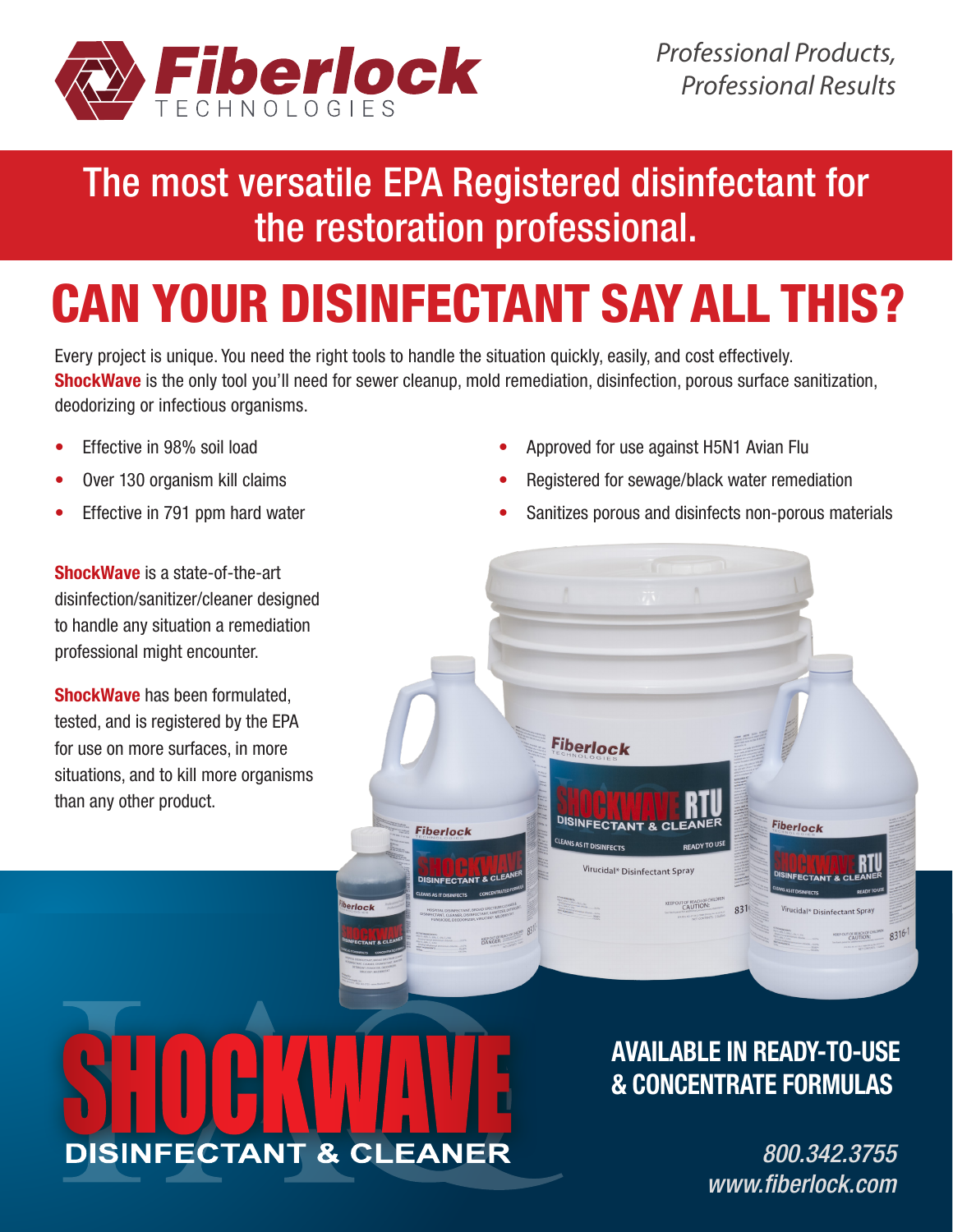

## The most versatile EPA Registered disinfectant for the restoration professional.

# CAN YOUR DISINFECTANT SAY ALL THIS?

Every project is unique. You need the right tools to handle the situation quickly, easily, and cost effectively. ShockWave is the only tool you'll need for sewer cleanup, mold remediation, disinfection, porous surface sanitization, deodorizing or infectious organisms.

**Fiberlock** 

- Effective in 98% soil load
- Over 130 organism kill claims
- Effective in 791 ppm hard water

ShockWave is a state-of-the-art disinfection/sanitizer/cleaner designed to handle any situation a remediation professional might encounter.

ShockWave has been formulated, tested, and is registered by the EPA for use on more surfaces, in more situations, and to kill more organisms than any other product.

• Approved for use against H5N1 Avian Flu

**Fiberlock** 

DISINFECTA

<sup>EANS</sup> AS IT DISINFECTS

Virucidal\* Disinfectant Spray

**CALITION** 

 $831$ 

- Registered for sewage/black water remediation
- Sanitizes porous and disinfects non-porous materials



erlock

AVAILABLE IN READY-TO-USE & CONCENTRATE FORMULAS

> *800.342.3755 www.fiberlock.com*

**Fiberlock** 

8316-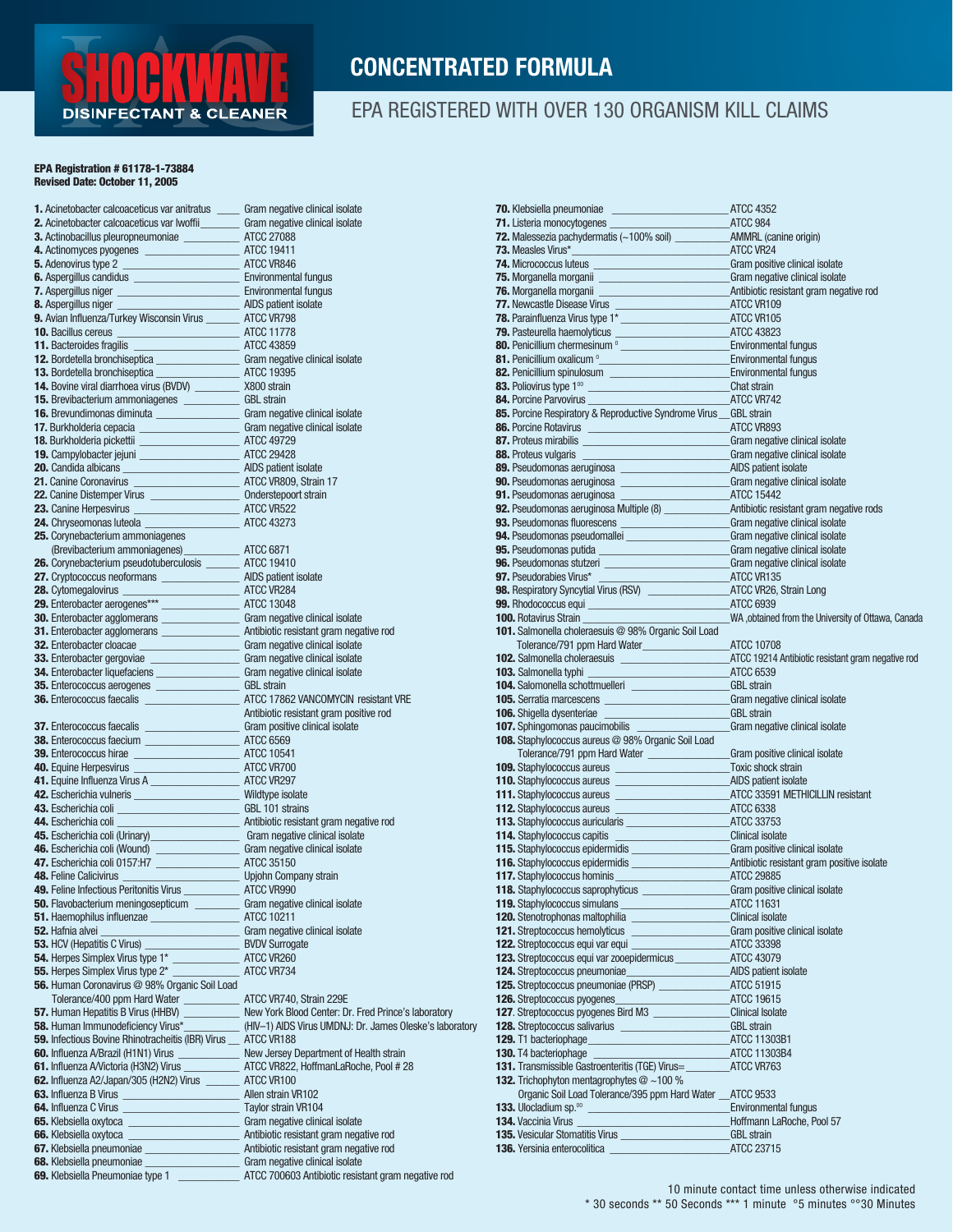

#### CONCENTRATED FORMULA

#### EPA REGISTERED WITH OVER 130 ORGANISM KILL CLAIMS

#### EPA Registration # 61178-1-73884 Revised Date: October 11, 2005

| 1. Acinetobacter calcoaceticus var anitratus _____ Gram negative clinical isolate<br>2. Acinetobacter calcoaceticus var lwoffii_________ Gram negative clinical isolate |                                                         |  |
|-------------------------------------------------------------------------------------------------------------------------------------------------------------------------|---------------------------------------------------------|--|
| 3. Actinobacillus pleuropneumoniae ______________ ATCC 27088                                                                                                            |                                                         |  |
| 4. Actinomyces pyogenes ___________________________ ATCC 19411                                                                                                          |                                                         |  |
|                                                                                                                                                                         |                                                         |  |
|                                                                                                                                                                         |                                                         |  |
|                                                                                                                                                                         |                                                         |  |
|                                                                                                                                                                         |                                                         |  |
| 9. Avian Influenza/Turkey Wisconsin Virus _________ ATCC VR798                                                                                                          |                                                         |  |
|                                                                                                                                                                         |                                                         |  |
| 10. Bacillus cereus<br>11. Bacteroides fragilis<br><u> 11. Bacteroides fragilis</u>                                                                                     |                                                         |  |
| 12. Bordetella bronchiseptica<br>13. Bordetella bronchiseptica<br>13. Bordetella bronchiseptica<br>2. ATCC 19395                                                        |                                                         |  |
|                                                                                                                                                                         |                                                         |  |
| 14. Bovine viral diarrhoea virus (BVDV) __________ X800 strain                                                                                                          |                                                         |  |
| 15. Brevibacterium ammoniagenes _____________ GBL strain                                                                                                                |                                                         |  |
| 16. Brevundimonas diminuta ________________________ Gram negative clinical isolate                                                                                      |                                                         |  |
| 17. Burkholderia cepacia _______________________________ Gram negative clinical isolate                                                                                 |                                                         |  |
| 18. Burkholderia pickettii _____________________________ ATCC 49729                                                                                                     |                                                         |  |
| 19. Campylobacter jejuni _________________________ ATCC 29428                                                                                                           |                                                         |  |
| 20. Candida albicans ___________________________________ AIDS patient isolate                                                                                           |                                                         |  |
| 21. Canine Coronavirus _________________________________ ATCC VR809, Strain 17                                                                                          |                                                         |  |
| 23. Canine Herpesvirus ____________________________ ATCC VR522                                                                                                          |                                                         |  |
|                                                                                                                                                                         |                                                         |  |
|                                                                                                                                                                         |                                                         |  |
|                                                                                                                                                                         |                                                         |  |
| 26. Corynebacterium pseudotuberculosis _______ ATCC 19410                                                                                                               |                                                         |  |
| 27. Cryptococcus neoformans _____________________ AIDS patient isolate                                                                                                  |                                                         |  |
|                                                                                                                                                                         |                                                         |  |
|                                                                                                                                                                         |                                                         |  |
| 30. Enterobacter agglomerans ____________________ Gram negative clinical isolate                                                                                        |                                                         |  |
| 31. Enterobacter agglomerans ___________________ Antibiotic resistant gram negative rod                                                                                 |                                                         |  |
| 32. Enterobacter cloacae ______________________________ Gram negative clinical isolate                                                                                  |                                                         |  |
| 33. Enterobacter gergoviae _______________________ Gram negative clinical isolate                                                                                       |                                                         |  |
| 34. Enterobacter liquefaciens _____________________Gram negative clinical isolate                                                                                       |                                                         |  |
| 35. Enterococcus aerogenes ___________________ GBL strain                                                                                                               |                                                         |  |
|                                                                                                                                                                         |                                                         |  |
| 37. Enterococcus faecalis<br>28. Enterococcus faecalis<br>28. Enterococcus faecalis<br>29. Enterococcus faceium<br>29. Enterococcus faceium                             |                                                         |  |
| 38. Enterococcus faecium __________________________ ATCC 6569                                                                                                           |                                                         |  |
|                                                                                                                                                                         |                                                         |  |
| 40. Equine Herpesvirus __________________________________ ATCC VR700                                                                                                    |                                                         |  |
| 41. Equine Influenza Virus A ___________________________ ATCC VR297                                                                                                     |                                                         |  |
| 42. Escherichia vulneris ________________________ Wildtype isolate                                                                                                      |                                                         |  |
| 43. Escherichia coli _________________________________ GBL 101 strains                                                                                                  |                                                         |  |
|                                                                                                                                                                         |                                                         |  |
| 45. Escherichia coli (Urinary) __________________________Gram negative clinical isolate                                                                                 |                                                         |  |
| 46. Escherichia coli (Wound)<br>47. Escherichia coli 0157:H7<br>2000 - ATCC 35150                                                                                       |                                                         |  |
|                                                                                                                                                                         |                                                         |  |
| 48. Feline Calicivirus ________________________________ Upjohn Company strain                                                                                           |                                                         |  |
| 49. Feline Infectious Peritonitis Virus _______________ ATCC VR990                                                                                                      |                                                         |  |
| 50. Flavobacterium meningosepticum Gram negative clinical isolate<br><b>51.</b> Haemophilus influenzae                                                                  | ATCC 10211                                              |  |
| 52. Hafnia alvei                                                                                                                                                        | _ Gram negative clinical isolate                        |  |
| <b>53.</b> HCV (Hepatitis C Virus)                                                                                                                                      | <b>BVDV Surrogate</b>                                   |  |
| 54. Herpes Simplex Virus type 1*                                                                                                                                        | $\_$ ATCC VR260                                         |  |
| 55. Herpes Simplex Virus type 2*                                                                                                                                        | ATCC VR734                                              |  |
| 56. Human Coronavirus @ 98% Organic Soil Load                                                                                                                           |                                                         |  |
| Tolerance/400 ppm Hard Water                                                                                                                                            | ATCC VR740, Strain 229E                                 |  |
| 57. Human Hepatitis B Virus (HHBV)                                                                                                                                      | New York Blood Center: Dr. Fred Prince's laboratory     |  |
| <b>58.</b> Human Immunodeficiency Virus*                                                                                                                                | (HIV-1) AIDS Virus UMDNJ: Dr. James Oleske's laboratory |  |
| 59. Infectious Bovine Rhinotracheitis (IBR) Virus __ ATCC VR188                                                                                                         |                                                         |  |
| 60. Influenza A/Brazil (H1N1) Virus _______________ New Jersey Department of Health strain                                                                              |                                                         |  |
| 61. Influenza A Victoria (H3N2) Virus                                                                                                                                   | ATCC VR822, HoffmanLaRoche, Pool #28                    |  |
| 62. Influenza A2/Japan/305 (H2N2) Virus _________ ATCC VR100                                                                                                            |                                                         |  |
|                                                                                                                                                                         | Allen strain VR102                                      |  |
| 64. Influenza C Virus __________________________________ Taylor strain VR104                                                                                            |                                                         |  |
| 65. Klebsiella oxytoca _________________________________ Gram negative clinical isolate<br>66. Klebsiella oxytoca                                                       | Antibiotic resistant gram negative rod                  |  |
| 67. Klebsiella pneumoniae _________________________ Antibiotic resistant gram negative rod                                                                              |                                                         |  |
| 68. Klebsiella pneumoniae _________________________Gram negative clinical isolate                                                                                       |                                                         |  |
| 69. Klebsiella Pneumoniae type 1                                                                                                                                        | ATCC 700603 Antibiotic resistant gram negative rod      |  |
|                                                                                                                                                                         |                                                         |  |

| <b>70.</b> Klebsiella pneumoniae<br><b>ATCC 4352</b>                                                                                                                                                                                                                                 |                                                     |
|--------------------------------------------------------------------------------------------------------------------------------------------------------------------------------------------------------------------------------------------------------------------------------------|-----------------------------------------------------|
| 71. Listeria monocytogenes                                                                                                                                                                                                                                                           | <b>ATCC 984</b>                                     |
|                                                                                                                                                                                                                                                                                      |                                                     |
| 73. Measles Virus*<br>ATCC VR24                                                                                                                                                                                                                                                      |                                                     |
| <b>74.</b> Micrococcus luteus <b>Contract Contract Contract Contract Contract Contract Contract Contract Contract Contract Contract Contract Contract Contract Contract Contract Contract Contract Contract Contract Contract Contrac</b>                                            |                                                     |
|                                                                                                                                                                                                                                                                                      |                                                     |
| <b>75.</b> Morganella morganii <b>Christianus Community Community Community Community Community Community Community Community Community Community Community Community Community Community Community Community Community Community Com</b>                                            |                                                     |
|                                                                                                                                                                                                                                                                                      |                                                     |
|                                                                                                                                                                                                                                                                                      |                                                     |
|                                                                                                                                                                                                                                                                                      |                                                     |
| <b>77.</b> Newcaste Disease virus<br><b>78.</b> Parainfluenza Virus type 1*<br><b>79.</b> Pasteurella haemolyticus<br><b>80.</b> Penicillium chermesinum $\frac{0}{2}$<br><b>81.</b> Penicillium oxaicum $\frac{0}{2}$<br><b>82.</b> Penicillium spinulosum<br><b>82.</b> Penicilliu |                                                     |
|                                                                                                                                                                                                                                                                                      |                                                     |
|                                                                                                                                                                                                                                                                                      |                                                     |
|                                                                                                                                                                                                                                                                                      |                                                     |
|                                                                                                                                                                                                                                                                                      |                                                     |
| 84. Porcine Parvovirus <b>84. Porcine Parvovirus 64. Porcine Parvovirus</b>                                                                                                                                                                                                          |                                                     |
| 85. Porcine Respiratory & Reproductive Syndrome Virus __ GBL strain                                                                                                                                                                                                                  |                                                     |
|                                                                                                                                                                                                                                                                                      |                                                     |
|                                                                                                                                                                                                                                                                                      |                                                     |
| 88. Proteus vulgaris ________________________________Gram negative clinical isolate                                                                                                                                                                                                  |                                                     |
| 89. Pseudomonas aeruginosa ________________________________AIDS patient isolate                                                                                                                                                                                                      |                                                     |
| 90. Pseudomonas aeruginosa _______________________Gram negative clinical isolate                                                                                                                                                                                                     |                                                     |
|                                                                                                                                                                                                                                                                                      |                                                     |
|                                                                                                                                                                                                                                                                                      |                                                     |
|                                                                                                                                                                                                                                                                                      |                                                     |
| <b>93.</b> Pseudomonas fluorescens<br><b>94.</b> Pseudomonas pseudomallei<br><b>94.</b> Pseudomonas pseudomallei<br><b>94.</b> Gram negative clinical isolate                                                                                                                        |                                                     |
| 95. Pseudomonas putida Gram negative clinical isolate                                                                                                                                                                                                                                |                                                     |
| 96. Pseudomonas stutzeri ___________________________Gram negative clinical isolate                                                                                                                                                                                                   |                                                     |
| 97. Pseudorabies Virus*<br><b>ATCC VR135</b>                                                                                                                                                                                                                                         |                                                     |
|                                                                                                                                                                                                                                                                                      |                                                     |
|                                                                                                                                                                                                                                                                                      |                                                     |
| <b>100. Rotavirus Strain</b>                                                                                                                                                                                                                                                         | WA , obtained from the University of Ottawa, Canada |
| 101. Salmonella choleraesuis @ 98% Organic Soil Load                                                                                                                                                                                                                                 |                                                     |
| Tolerance/791 ppm Hard Water________________________ATCC 10708                                                                                                                                                                                                                       |                                                     |
|                                                                                                                                                                                                                                                                                      | ATCC 19214 Antibiotic resistant gram negative rod   |
| <b>103.</b> Salmonella typhi                                                                                                                                                                                                                                                         | ATCC 6539                                           |
| 104. Salomonella schottmuelleri _______________________GBL strain                                                                                                                                                                                                                    |                                                     |
|                                                                                                                                                                                                                                                                                      | Gram negative clinical isolate                      |
| 106. Shigella dysenteriae                                                                                                                                                                                                                                                            | <b>GBL strain</b>                                   |
| 107. Sphingomonas paucimobilis                                                                                                                                                                                                                                                       | Gram negative clinical isolate                      |
| 108. Staphylococcus aureus @ 98% Organic Soil Load                                                                                                                                                                                                                                   |                                                     |
| Tolerance/791 ppm Hard Water ___________________Gram positive clinical isolate                                                                                                                                                                                                       |                                                     |
|                                                                                                                                                                                                                                                                                      | Toxic shock strain                                  |
|                                                                                                                                                                                                                                                                                      |                                                     |
| 110. Staphylococcus aureus _______________________________AIDS patient isolate                                                                                                                                                                                                       |                                                     |
| 111. Staphylococcus aureus _____________________________ATCC 33591 METHICILLIN resistant                                                                                                                                                                                             |                                                     |
|                                                                                                                                                                                                                                                                                      |                                                     |
|                                                                                                                                                                                                                                                                                      |                                                     |
|                                                                                                                                                                                                                                                                                      |                                                     |
| 115. Staphylococcus epidermidis<br>115. Staphylococcus epidermidis<br>116. Staphylococcus epidermidis<br>117. Staphylococcus epidermidis<br>117. Staphylococcus hominis<br>117. Staphylococcus hominis<br>ATCC 29885                                                                 |                                                     |
|                                                                                                                                                                                                                                                                                      |                                                     |
|                                                                                                                                                                                                                                                                                      |                                                     |
| 118. Staphylococcus saprophyticus _____________________Gram positive clinical isolate                                                                                                                                                                                                |                                                     |
| 119. Staphylococcus simulans<br>ATCC 11631                                                                                                                                                                                                                                           |                                                     |
| 120. Stenotrophonas maltophilia                                                                                                                                                                                                                                                      | <b>Clinical isolate</b>                             |
| 121. Streptococcus hemolyticus                                                                                                                                                                                                                                                       | Gram positive clinical isolate                      |
| 122. Streptococcus equi var equi                                                                                                                                                                                                                                                     | ATCC 33398                                          |
| <b>123.</b> Streptococcus equi var zooepidermicus ATCC 43079                                                                                                                                                                                                                         |                                                     |
| 124. Streptococcus pneumoniae                                                                                                                                                                                                                                                        | _AIDS patient isolate                               |
|                                                                                                                                                                                                                                                                                      |                                                     |
| <b>126.</b> Streptococcus pyogenes<br><u>a sa sa</u>                                                                                                                                                                                                                                 | ATCC 19615                                          |
| 127. Streptococcus pyogenes Bird M3                                                                                                                                                                                                                                                  | <b>Clinical Isolate</b>                             |
|                                                                                                                                                                                                                                                                                      | <b>GBL strain</b>                                   |
| <b>129.</b> T1 bacteriophage                                                                                                                                                                                                                                                         | _ATCC 11303B1                                       |
| 130. T4 bacteriophage                                                                                                                                                                                                                                                                | ATCC 11303B4                                        |
| 131. Transmissible Gastroenteritis (TGE) Virus=                                                                                                                                                                                                                                      | ATCC VR763                                          |
| <b>132.</b> Trichophyton mentagrophytes $@$ ~100 %                                                                                                                                                                                                                                   |                                                     |
| Organic Soil Load Tolerance/395 ppm Hard Water ATCC 9533                                                                                                                                                                                                                             |                                                     |
| 133. Ulocladium sp. <sup>00</sup><br><u> 1989 - Johann Barnett, fransk politiker</u>                                                                                                                                                                                                 | <b>Environmental fungus</b>                         |
| <b>134.</b> Vaccinia Virus                                                                                                                                                                                                                                                           |                                                     |
|                                                                                                                                                                                                                                                                                      | Hoffmann LaRoche, Pool 57                           |
| 135. Vesicular Stomatitis Virus                                                                                                                                                                                                                                                      | <b>GBL</b> strain                                   |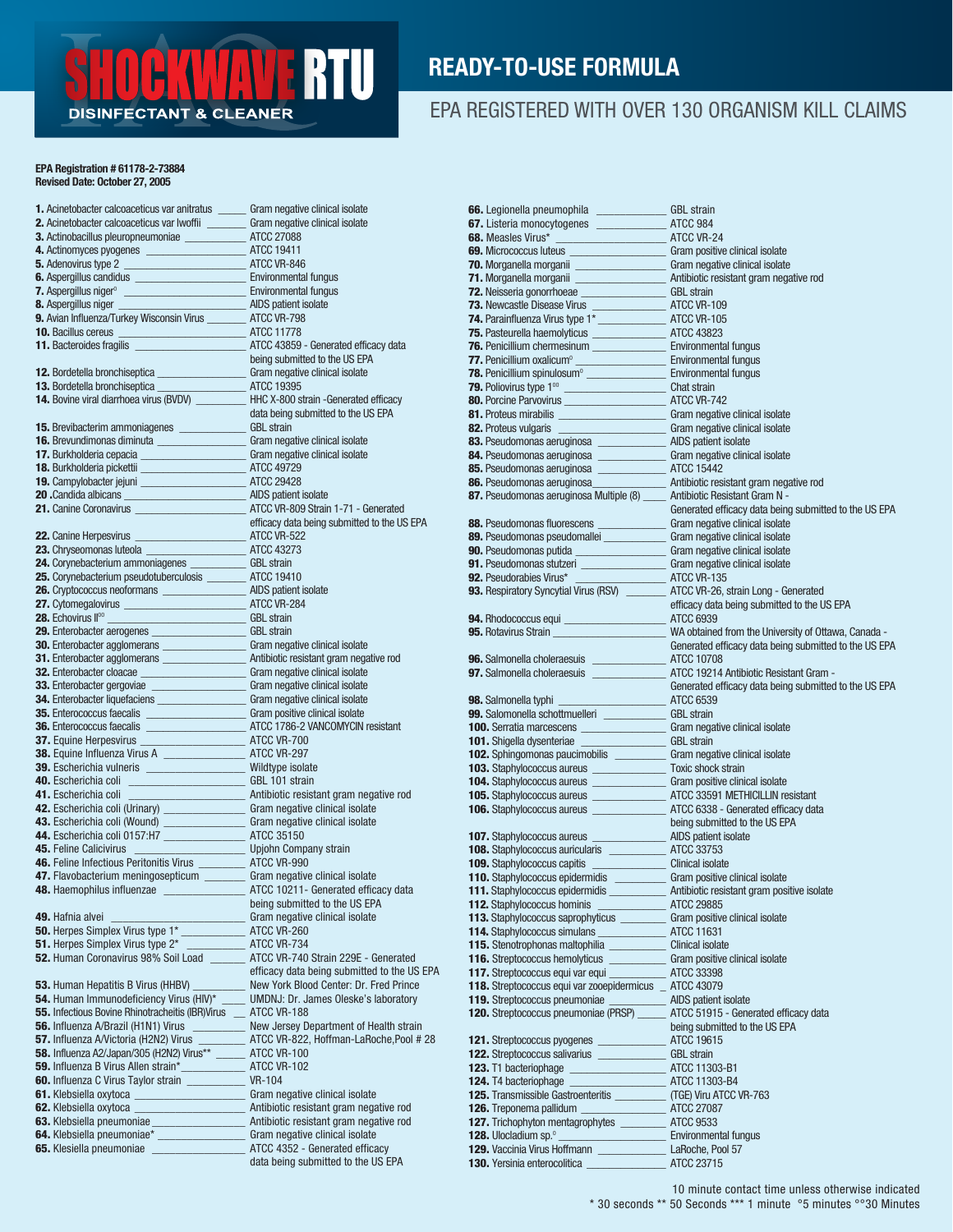#### **RTU** Æ **DISINFECTANT & CLEANER**

#### READY-TO-USE FORMULA

#### EPA REGISTERED WITH OVER 130 ORGANISM KILL CLAIMS

#### EPA Registration # 61178-2-73884 Revised Date: October 27, 2005

| 1. Acinetobacter calcoaceticus var anitratus                                                                                                                                                                                                 | Gram negative clinical isolate              | 66. Legionella pneumophila                                                                                                                                                                                                                                                                 | <b>GBL</b> strain                                     |
|----------------------------------------------------------------------------------------------------------------------------------------------------------------------------------------------------------------------------------------------|---------------------------------------------|--------------------------------------------------------------------------------------------------------------------------------------------------------------------------------------------------------------------------------------------------------------------------------------------|-------------------------------------------------------|
| 1. Achielolater calculaterus variantials<br>2. Achielolater calculaterus variantials<br>3. Actinomyces pyogenes<br>4. Actinomyces pyogenes<br>4. Actinomyces pyogenes<br>4. Actinomyces pyogenes<br>4. Actinomyces pyogenes<br>4. Actinomyce |                                             |                                                                                                                                                                                                                                                                                            |                                                       |
|                                                                                                                                                                                                                                              |                                             |                                                                                                                                                                                                                                                                                            |                                                       |
|                                                                                                                                                                                                                                              |                                             |                                                                                                                                                                                                                                                                                            |                                                       |
|                                                                                                                                                                                                                                              |                                             | <b>68.</b> Measles Virus<br><b>69.</b> Micrococcus luteus<br><b>69.</b> Micrococcus luteus<br><b>70.</b> Morganella morganii<br><b>71.</b> Morganella morganii<br><b>71.</b> Morganella morganii<br><b>72.</b> Neisseria gonorrhoeae<br><b>72.</b> Neisseria gonorrhoeae<br><b>73.</b> New |                                                       |
|                                                                                                                                                                                                                                              |                                             |                                                                                                                                                                                                                                                                                            |                                                       |
|                                                                                                                                                                                                                                              |                                             |                                                                                                                                                                                                                                                                                            |                                                       |
|                                                                                                                                                                                                                                              |                                             |                                                                                                                                                                                                                                                                                            |                                                       |
|                                                                                                                                                                                                                                              |                                             |                                                                                                                                                                                                                                                                                            |                                                       |
|                                                                                                                                                                                                                                              |                                             |                                                                                                                                                                                                                                                                                            |                                                       |
|                                                                                                                                                                                                                                              |                                             |                                                                                                                                                                                                                                                                                            |                                                       |
|                                                                                                                                                                                                                                              |                                             |                                                                                                                                                                                                                                                                                            |                                                       |
|                                                                                                                                                                                                                                              |                                             |                                                                                                                                                                                                                                                                                            |                                                       |
|                                                                                                                                                                                                                                              |                                             |                                                                                                                                                                                                                                                                                            |                                                       |
|                                                                                                                                                                                                                                              |                                             |                                                                                                                                                                                                                                                                                            |                                                       |
|                                                                                                                                                                                                                                              |                                             |                                                                                                                                                                                                                                                                                            |                                                       |
|                                                                                                                                                                                                                                              |                                             | 81. Proteus mirabilis<br>Estado de Gram negative clinical isolate<br>82. Proteus vulgaris<br>Estado de Gram negative clinical isolate<br>AIDS patient isolate<br>AIDS patient isolate                                                                                                      |                                                       |
|                                                                                                                                                                                                                                              |                                             |                                                                                                                                                                                                                                                                                            |                                                       |
|                                                                                                                                                                                                                                              |                                             |                                                                                                                                                                                                                                                                                            |                                                       |
|                                                                                                                                                                                                                                              |                                             |                                                                                                                                                                                                                                                                                            |                                                       |
|                                                                                                                                                                                                                                              |                                             |                                                                                                                                                                                                                                                                                            |                                                       |
|                                                                                                                                                                                                                                              |                                             |                                                                                                                                                                                                                                                                                            |                                                       |
|                                                                                                                                                                                                                                              |                                             | <b>84.</b> Pseudomonas aeruginosa <b>anticerium de Caracteristant</b> Gram negative clinical isolate<br><b>85.</b> Pseudomonas aeruginosa <b>acrossitants</b> are a ATCC 15442<br><b>86.</b> Pseudomonas aeruginosa <b>acrossitants</b> antibiotic resistant Gra                           |                                                       |
|                                                                                                                                                                                                                                              |                                             |                                                                                                                                                                                                                                                                                            | Generated efficacy data being submitted to the US EPA |
|                                                                                                                                                                                                                                              |                                             |                                                                                                                                                                                                                                                                                            |                                                       |
| 10. Bacilius cereus $\frac{1}{24}$ . The Bracching of the state of the state of the US EPA<br>11. Bachdonics ranging and the US EPA<br>12. Bordelella bronchiseptica Care may be thin a being submitted to the US EPA<br>12. Bordelella      | efficacy data being submitted to the US EPA | 38. Pseudomonas fluorescens<br>39. Pseudomonas pseudomallei<br>39. Pseudomonas pseudomallei<br>39. Pseudomonas putida<br>31. Pseudomonas stutzeri<br>32. Pseudorabies Virus*<br>32. Pseudorabies Virus*<br>33. Respiratory Syncytial Virus (                                               |                                                       |
|                                                                                                                                                                                                                                              |                                             |                                                                                                                                                                                                                                                                                            |                                                       |
|                                                                                                                                                                                                                                              |                                             |                                                                                                                                                                                                                                                                                            |                                                       |
|                                                                                                                                                                                                                                              |                                             |                                                                                                                                                                                                                                                                                            |                                                       |
|                                                                                                                                                                                                                                              |                                             |                                                                                                                                                                                                                                                                                            |                                                       |
|                                                                                                                                                                                                                                              |                                             |                                                                                                                                                                                                                                                                                            |                                                       |
|                                                                                                                                                                                                                                              |                                             |                                                                                                                                                                                                                                                                                            | efficacy data being submitted to the US EPA           |
|                                                                                                                                                                                                                                              |                                             |                                                                                                                                                                                                                                                                                            |                                                       |
|                                                                                                                                                                                                                                              |                                             |                                                                                                                                                                                                                                                                                            | WA obtained from the University of Ottawa, Canada -   |
|                                                                                                                                                                                                                                              |                                             |                                                                                                                                                                                                                                                                                            | Generated efficacy data being submitted to the US EPA |
|                                                                                                                                                                                                                                              |                                             |                                                                                                                                                                                                                                                                                            |                                                       |
|                                                                                                                                                                                                                                              |                                             |                                                                                                                                                                                                                                                                                            |                                                       |
|                                                                                                                                                                                                                                              |                                             |                                                                                                                                                                                                                                                                                            | Generated efficacy data being submitted to the US EPA |
|                                                                                                                                                                                                                                              |                                             |                                                                                                                                                                                                                                                                                            | ATCC 6539                                             |
|                                                                                                                                                                                                                                              |                                             | <b>99.</b> Salomonella schuttnuelleri<br>100. Serratia marcescens<br>101. Shigella dysenteriae<br>102. Sphingomonas paucimobilis<br>103. Staphylococcus aureus<br>103. Staphylococcus aureus<br>103. Staphylococcus aureus<br>103. Staphylococcus                                          |                                                       |
|                                                                                                                                                                                                                                              |                                             |                                                                                                                                                                                                                                                                                            |                                                       |
|                                                                                                                                                                                                                                              |                                             |                                                                                                                                                                                                                                                                                            |                                                       |
|                                                                                                                                                                                                                                              |                                             |                                                                                                                                                                                                                                                                                            |                                                       |
|                                                                                                                                                                                                                                              |                                             |                                                                                                                                                                                                                                                                                            |                                                       |
|                                                                                                                                                                                                                                              |                                             |                                                                                                                                                                                                                                                                                            |                                                       |
|                                                                                                                                                                                                                                              |                                             | 104. Staphylococcus aureus<br>105. Staphylococcus aureus<br>105. Staphylococcus aureus<br>106. Staphylococcus aureus<br>106. Staphylococcus aureus<br>106. Staphylococcus aureus<br>106. Staphylococcus aureus<br>107. ATCC 6338 - Generated                                               |                                                       |
|                                                                                                                                                                                                                                              |                                             |                                                                                                                                                                                                                                                                                            |                                                       |
|                                                                                                                                                                                                                                              |                                             |                                                                                                                                                                                                                                                                                            |                                                       |
|                                                                                                                                                                                                                                              |                                             |                                                                                                                                                                                                                                                                                            | being submitted to the US EPA                         |
|                                                                                                                                                                                                                                              |                                             |                                                                                                                                                                                                                                                                                            |                                                       |
|                                                                                                                                                                                                                                              |                                             |                                                                                                                                                                                                                                                                                            |                                                       |
|                                                                                                                                                                                                                                              |                                             |                                                                                                                                                                                                                                                                                            |                                                       |
|                                                                                                                                                                                                                                              |                                             |                                                                                                                                                                                                                                                                                            |                                                       |
| 48. Haemophilus influenzae _____________________ ATCC 10211- Generated efficacy data                                                                                                                                                         |                                             | 107. Staphylococcus aureus<br>108. Staphylococcus auricularis<br>109. Staphylococcus capitis<br>110. Staphylococcus epidermidis<br>111. Staphylococcus epidermidis<br>111. Staphylococcus epidermidis<br>111. Staphylococcus epidermidis<br>                                               |                                                       |
|                                                                                                                                                                                                                                              | being submitted to the US EPA               | <b>112.</b> Staphylococcus hominis                                                                                                                                                                                                                                                         | ATCC 29885                                            |
| 49. Hafnia alvei                                                                                                                                                                                                                             | Gram negative clinical isolate              | <b>113.</b> Staphylococcus saprophyticus                                                                                                                                                                                                                                                   | Gram positive clinical isolate                        |
| 50. Herpes Simplex Virus type 1*                                                                                                                                                                                                             | ATCC VR-260                                 | <b>114.</b> Staphylococcus simulans                                                                                                                                                                                                                                                        | <b>ATCC 11631</b>                                     |
| <b>51.</b> Herpes Simplex Virus type 2*                                                                                                                                                                                                      | ATCC VR-734                                 | 115. Stenotrophonas maltophilia                                                                                                                                                                                                                                                            | <b>Clinical isolate</b>                               |
| 52. Human Coronavirus 98% Soil Load                                                                                                                                                                                                          | ATCC VR-740 Strain 229E - Generated         | <b>116.</b> Streptococcus hemolyticus                                                                                                                                                                                                                                                      | Gram positive clinical isolate                        |
|                                                                                                                                                                                                                                              | efficacy data being submitted to the US EPA | 117. Streptococcus equi var equi                                                                                                                                                                                                                                                           | ATCC 33398                                            |
| 53. Human Hepatitis B Virus (HHBV)                                                                                                                                                                                                           | New York Blood Center: Dr. Fred Prince      | 118. Streptococcus equi var zooepidermicus                                                                                                                                                                                                                                                 | $\_$ ATCC 43079                                       |
| 54. Human Immunodeficiency Virus (HIV)*                                                                                                                                                                                                      | UMDNJ: Dr. James Oleske's laboratory        |                                                                                                                                                                                                                                                                                            |                                                       |
|                                                                                                                                                                                                                                              |                                             | <b>119.</b> Streptococcus pneumoniae                                                                                                                                                                                                                                                       | AIDS patient isolate                                  |
| <b>55.</b> Infectious Bovine Rhinotracheitis (IBR) Virus                                                                                                                                                                                     | ATCC VR-188                                 | <b>120.</b> Streptococcus pneumoniae (PRSP)                                                                                                                                                                                                                                                | ATCC 51915 - Generated efficacy data                  |
| 56. Influenza A/Brazil (H1N1) Virus                                                                                                                                                                                                          | New Jersey Department of Health strain      |                                                                                                                                                                                                                                                                                            | being submitted to the US EPA                         |
| <b>57.</b> Influenza A/Victoria (H2N2) Virus                                                                                                                                                                                                 | ATCC VR-822, Hoffman-LaRoche, Pool # 28     | <b>121.</b> Streptococcus pyogenes                                                                                                                                                                                                                                                         | ATCC 19615                                            |
| 58. Influenza A2/Japan/305 (H2N2) Virus**                                                                                                                                                                                                    | ATCC VR-100                                 | <b>122.</b> Streptococcus salivarius                                                                                                                                                                                                                                                       | <b>GBL</b> strain                                     |
| <b>59.</b> Influenza B Virus Allen strain*                                                                                                                                                                                                   | ATCC VR-102                                 | 123. T1 bacteriophage                                                                                                                                                                                                                                                                      | ATCC 11303-B1                                         |
| <b>60.</b> Influenza C Virus Taylor strain                                                                                                                                                                                                   | VR-104                                      | 124. T4 bacteriophage                                                                                                                                                                                                                                                                      | ATCC 11303-B4                                         |
| 61. Klebsiella oxytoca                                                                                                                                                                                                                       | Gram negative clinical isolate              | <b>125.</b> Transmissible Gastroenteritis                                                                                                                                                                                                                                                  | (TGE) Viru ATCC VR-763                                |
| 62. Klebsiella oxytoca                                                                                                                                                                                                                       | Antibiotic resistant gram negative rod      | <b>126.</b> Treponema pallidum                                                                                                                                                                                                                                                             | <b>ATCC 27087</b>                                     |
| <b>63.</b> Klebsiella pneumoniae                                                                                                                                                                                                             | Antibiotic resistant gram negative rod      | <b>127.</b> Trichophyton mentagrophytes                                                                                                                                                                                                                                                    | <b>ATCC 9533</b>                                      |
| 64. Klebsiella pneumoniae*                                                                                                                                                                                                                   | Gram negative clinical isolate              | 128. Ulocladium sp.º                                                                                                                                                                                                                                                                       | <b>Environmental fungus</b>                           |
| <b>65.</b> Klesiella pneumoniae                                                                                                                                                                                                              | ATCC 4352 - Generated efficacy              | <b>129.</b> Vaccinia Virus Hoffmann                                                                                                                                                                                                                                                        | LaRoche, Pool 57                                      |
|                                                                                                                                                                                                                                              | data being submitted to the US EPA          | 130. Yersinia enterocolitica                                                                                                                                                                                                                                                               | ATCC 23715                                            |